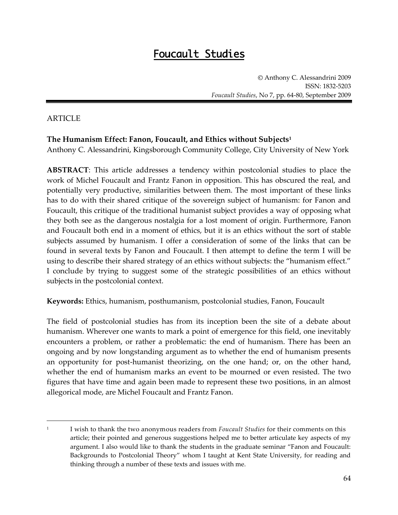# Foucault Studies

Anthony C. Alessandrini 2009 ISSN: 1832-5203 *Foucault Studies*, No 7, pp. 64-80, September 2009

## ARTICLE

 $\overline{a}$ 

## **The Humanism Effect: Fanon, Foucault, and Ethics without Subjects<sup>1</sup>**

Anthony C. Alessandrini, Kingsborough Community College, City University of New York

**ABSTRACT**: This article addresses a tendency within postcolonial studies to place the work of Michel Foucault and Frantz Fanon in opposition. This has obscured the real, and potentially very productive, similarities between them. The most important of these links has to do with their shared critique of the sovereign subject of humanism: for Fanon and Foucault, this critique of the traditional humanist subject provides a way of opposing what they both see as the dangerous nostalgia for a lost moment of origin. Furthermore, Fanon and Foucault both end in a moment of ethics, but it is an ethics without the sort of stable subjects assumed by humanism. I offer a consideration of some of the links that can be found in several texts by Fanon and Foucault. I then attempt to define the term I will be using to describe their shared strategy of an ethics without subjects: the 'humanism effect.' I conclude by trying to suggest some of the strategic possibilities of an ethics without subjects in the postcolonial context.

**Keywords:** Ethics, humanism, posthumanism, postcolonial studies, Fanon, Foucault

The field of postcolonial studies has from its inception been the site of a debate about humanism. Wherever one wants to mark a point of emergence for this field, one inevitably encounters a problem, or rather a problematic: the end of humanism. There has been an ongoing and by now longstanding argument as to whether the end of humanism presents an opportunity for post-humanist theorizing, on the one hand; or, on the other hand, whether the end of humanism marks an event to be mourned or even resisted. The two figures that have time and again been made to represent these two positions, in an almost allegorical mode, are Michel Foucault and Frantz Fanon.

<sup>1</sup> I wish to thank the two anonymous readers from *Foucault Studies* for their comments on this article; their pointed and generous suggestions helped me to better articulate key aspects of my argument. I also would like to thank the students in the graduate seminar 'Fanon and Foucault: Backgrounds to Postcolonial Theory' whom I taught at Kent State University, for reading and thinking through a number of these texts and issues with me.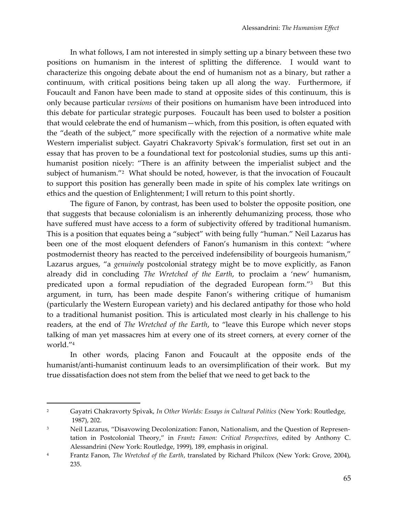In what follows, I am not interested in simply setting up a binary between these two positions on humanism in the interest of splitting the difference. I would want to characterize this ongoing debate about the end of humanism not as a binary, but rather a continuum, with critical positions being taken up all along the way. Furthermore, if Foucault and Fanon have been made to stand at opposite sides of this continuum, this is only because particular *versions* of their positions on humanism have been introduced into this debate for particular strategic purposes. Foucault has been used to bolster a position that would celebrate the end of humanism—which, from this position, is often equated with the 'death of the subject,' more specifically with the rejection of a normative white male Western imperialist subject. Gayatri Chakravorty Spivak's formulation, first set out in an essay that has proven to be a foundational text for postcolonial studies, sums up this antihumanist position nicely: 'There is an affinity between the imperialist subject and the subject of humanism.'<sup>2</sup> What should be noted, however, is that the invocation of Foucault to support this position has generally been made in spite of his complex late writings on ethics and the question of Enlightenment; I will return to this point shortly.

The figure of Fanon, by contrast, has been used to bolster the opposite position, one that suggests that because colonialism is an inherently dehumanizing process, those who have suffered must have access to a form of subjectivity offered by traditional humanism. This is a position that equates being a 'subject' with being fully 'human.' Neil Lazarus has been one of the most eloquent defenders of Fanon's humanism in this context: 'where postmodernist theory has reacted to the perceived indefensibility of bourgeois humanism," Lazarus argues, 'a *genuinely* postcolonial strategy might be to move explicitly, as Fanon already did in concluding *The Wretched of the Earth*, to proclaim a 'new' humanism, predicated upon a formal repudiation of the degraded European form.'<sup>3</sup> But this argument, in turn, has been made despite Fanon's withering critique of humanism (particularly the Western European variety) and his declared antipathy for those who hold to a traditional humanist position. This is articulated most clearly in his challenge to his readers, at the end of *The Wretched of the Earth*, to 'leave this Europe which never stops talking of man yet massacres him at every one of its street corners, at every corner of the world.'<sup>4</sup>

In other words, placing Fanon and Foucault at the opposite ends of the humanist/anti-humanist continuum leads to an oversimplification of their work. But my true dissatisfaction does not stem from the belief that we need to get back to the

<sup>2</sup> Gayatri Chakravorty Spivak, *In Other Worlds: Essays in Cultural Politics* (New York: Routledge, 1987), 202.

<sup>&</sup>lt;sup>3</sup> Neil Lazarus, "Disavowing Decolonization: Fanon, Nationalism, and the Question of Representation in Postcolonial Theory,' in *Frantz Fanon: Critical Perspectives*, edited by Anthony C. Alessandrini (New York: Routledge, 1999), 189, emphasis in original.

<sup>4</sup> Frantz Fanon, *The Wretched of the Earth*, translated by Richard Philcox (New York: Grove, 2004), 235.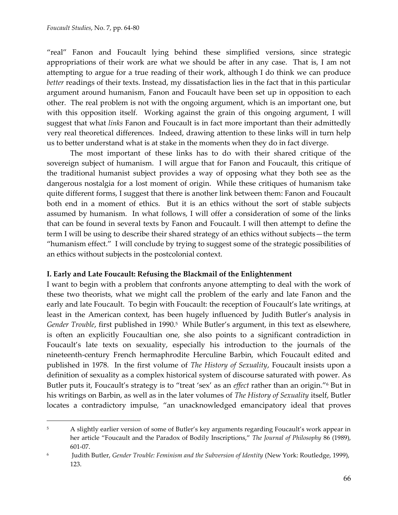$\overline{a}$ 

'real' Fanon and Foucault lying behind these simplified versions, since strategic appropriations of their work are what we should be after in any case. That is, I am not attempting to argue for a true reading of their work, although I do think we can produce *better* readings of their texts. Instead, my dissatisfaction lies in the fact that in this particular argument around humanism, Fanon and Foucault have been set up in opposition to each other. The real problem is not with the ongoing argument, which is an important one, but with this opposition itself. Working against the grain of this ongoing argument, I will suggest that what *links* Fanon and Foucault is in fact more important than their admittedly very real theoretical differences. Indeed, drawing attention to these links will in turn help us to better understand what is at stake in the moments when they do in fact diverge.

The most important of these links has to do with their shared critique of the sovereign subject of humanism. I will argue that for Fanon and Foucault, this critique of the traditional humanist subject provides a way of opposing what they both see as the dangerous nostalgia for a lost moment of origin. While these critiques of humanism take quite different forms, I suggest that there is another link between them: Fanon and Foucault both end in a moment of ethics. But it is an ethics without the sort of stable subjects assumed by humanism. In what follows, I will offer a consideration of some of the links that can be found in several texts by Fanon and Foucault. I will then attempt to define the term I will be using to describe their shared strategy of an ethics without subjects—the term 'humanism effect.' I will conclude by trying to suggest some of the strategic possibilities of an ethics without subjects in the postcolonial context.

#### **I. Early and Late Foucault: Refusing the Blackmail of the Enlightenment**

I want to begin with a problem that confronts anyone attempting to deal with the work of these two theorists, what we might call the problem of the early and late Fanon and the early and late Foucault. To begin with Foucault: the reception of Foucault's late writings, at least in the American context, has been hugely influenced by Judith Butler's analysis in Gender Trouble, first published in 1990.<sup>5</sup> While Butler's argument, in this text as elsewhere, is often an explicitly Foucaultian one, she also points to a significant contradiction in Foucault's late texts on sexuality, especially his introduction to the journals of the nineteenth-century French hermaphrodite Herculine Barbin, which Foucault edited and published in 1978. In the first volume of *The History of Sexuality*, Foucault insists upon a definition of sexuality as a complex historical system of discourse saturated with power. As Butler puts it, Foucault's strategy is to "treat 'sex' as an *effect* rather than an origin."<sup>6</sup> But in his writings on Barbin, as well as in the later volumes of *The History of Sexuality* itself, Butler locates a contradictory impulse, 'an unacknowledged emancipatory ideal that proves

<sup>&</sup>lt;sup>5</sup> A slightly earlier version of some of Butler's key arguments regarding Foucault's work appear in her article 'Foucault and the Paradox of Bodily Inscriptions,' *The Journal of Philosophy* 86 (1989), 601-07.

<sup>6</sup> Judith Butler, *Gender Trouble: Feminism and the Subversion of Identity* (New York: Routledge, 1999), 123.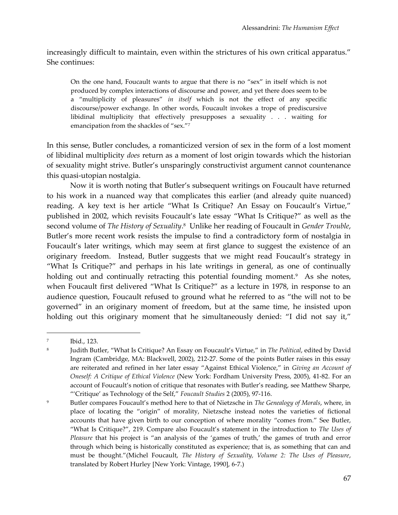increasingly difficult to maintain, even within the strictures of his own critical apparatus." She continues:

On the one hand, Foucault wants to argue that there is no "sex" in itself which is not produced by complex interactions of discourse and power, and yet there does seem to be a 'multiplicity of pleasures' *in itself* which is not the effect of any specific discourse/power exchange. In other words, Foucault invokes a trope of prediscursive libidinal multiplicity that effectively presupposes a sexuality . . . waiting for emancipation from the shackles of "sex."7

In this sense, Butler concludes, a romanticized version of sex in the form of a lost moment of libidinal multiplicity *does* return as a moment of lost origin towards which the historian of sexuality might strive. Butler's unsparingly constructivist argument cannot countenance this quasi-utopian nostalgia.

Now it is worth noting that Butler's subsequent writings on Foucault have returned to his work in a nuanced way that complicates this earlier (and already quite nuanced) reading. A key text is her article "What Is Critique? An Essay on Foucault's Virtue," published in 2002, which revisits Foucault's late essay 'What Is Critique?' as well as the second volume of *The History of Sexuality*. 8 Unlike her reading of Foucault in *Gender Trouble*, Butler's more recent work resists the impulse to find a contradictory form of nostalgia in Foucault's later writings, which may seem at first glance to suggest the existence of an originary freedom. Instead, Butler suggests that we might read Foucault's strategy in 'What Is Critique?' and perhaps in his late writings in general, as one of continually holding out and continually retracting this potential founding moment.<sup>9</sup> As she notes, when Foucault first delivered 'What Is Critique?' as a lecture in 1978, in response to an audience question, Foucault refused to ground what he referred to as 'the will not to be governed' in an originary moment of freedom, but at the same time, he insisted upon holding out this originary moment that he simultaneously denied: "I did not say it,"

<sup>7</sup> Ibid., 123.

<sup>8</sup> Judith Butler, 'What Is Critique? An Essay on Foucault's Virtue,' in *The Political*, edited by David Ingram (Cambridge, MA: Blackwell, 2002), 212-27. Some of the points Butler raises in this essay are reiterated and refined in her later essay 'Against Ethical Violence,' in *Giving an Account of Oneself: A Critique of Ethical Violence* (New York: Fordham University Press, 2005), 41-82. For an account of Foucault's notion of critique that resonates with Butler's reading, see Matthew Sharpe, ''Critique' as Technology of the Self,' *Foucault Studies* 2 (2005), 97-116.

<sup>&</sup>lt;sup>9</sup> Butler compares Foucault's method here to that of Nietzsche in *The Genealogy of Morals*, where, in place of locating the 'origin' of morality, Nietzsche instead notes the varieties of fictional accounts that have given birth to our conception of where morality 'comes from.' See Butler, 'What Is Critique?', 219. Compare also Foucault's statement in the introduction to *The Uses of Pleasure* that his project is "an analysis of the 'games of truth,' the games of truth and error through which being is historically constituted as experience; that is, as something that can and must be thought.'(Michel Foucault, *The History of Sexuality, Volume 2: The Uses of Pleasure*, translated by Robert Hurley [New York: Vintage, 1990], 6-7.)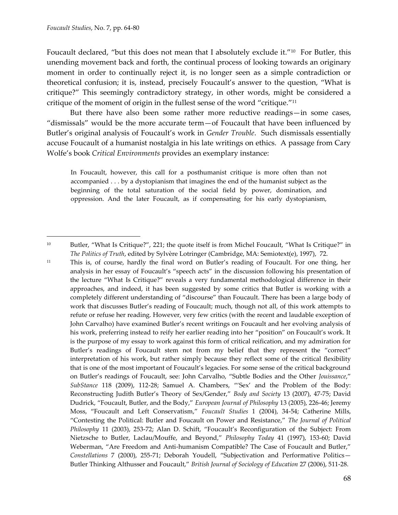$\overline{a}$ 

Foucault declared, "but this does not mean that I absolutely exclude it."<sup>10</sup> For Butler, this unending movement back and forth, the continual process of looking towards an originary moment in order to continually reject it, is no longer seen as a simple contradiction or theoretical confusion; it is, instead, precisely Foucault's answer to the question, 'What is critique?' This seemingly contradictory strategy, in other words, might be considered a critique of the moment of origin in the fullest sense of the word "critique." $^{\rm 11}$ 

But there have also been some rather more reductive readings—in some cases, 'dismissals' would be the more accurate term—of Foucault that have been influenced by Butler's original analysis of Foucault's work in *Gender Trouble*. Such dismissals essentially accuse Foucault of a humanist nostalgia in his late writings on ethics. A passage from Cary Wolfe's book *Critical Environments* provides an exemplary instance:

In Foucault, however, this call for a posthumanist critique is more often than not accompanied . . . by a dystopianism that imagines the end of the humanist subject as the beginning of the total saturation of the social field by power, domination, and oppression. And the later Foucault, as if compensating for his early dystopianism,

<sup>&</sup>lt;sup>10</sup> Butler, "What Is Critique?", 221; the quote itself is from Michel Foucault, "What Is Critique?" in *The Politics of Truth*, edited by Sylvère Lotringer (Cambridge, MA: Semiotext(e), 1997), 72.

<sup>11</sup> This is, of course, hardly the final word on Butler's reading of Foucault. For one thing, her analysis in her essay of Foucault's "speech acts" in the discussion following his presentation of the lecture 'What Is Critique?' reveals a very fundamental methodological difference in their approaches, and indeed, it has been suggested by some critics that Butler is working with a completely different understanding of 'discourse' than Foucault. There has been a large body of work that discusses Butler's reading of Foucault; much, though not all, of this work attempts to refute or refuse her reading. However, very few critics (with the recent and laudable exception of John Carvalho) have examined Butler's recent writings on Foucault and her evolving analysis of his work, preferring instead to reify her earlier reading into her 'position' on Foucault's work. It is the purpose of my essay to work against this form of critical reification, and my admiration for Butler's readings of Foucault stem not from my belief that they represent the 'correct' interpretation of his work, but rather simply because they reflect some of the critical flexibility that is one of the most important of Foucault's legacies. For some sense of the critical background on Butler's readings of Foucault, see: John Carvalho, 'Subtle Bodies and the Other *Jouissance*,' *SubStance* 118 (2009), 112-28; Samuel A. Chambers, ''Sex' and the Problem of the Body: Reconstructing Judith Butler's Theory of Sex/Gender,' *Body and Society* 13 (2007), 47-75; David Dudrick, 'Foucault, Butler, and the Body,' *European Journal of Philosophy* 13 (2005), 226-46; Jeremy Moss, 'Foucault and Left Conservatism,' *Foucault Studies* 1 (2004), 34-54; Catherine Mills, 'Contesting the Political: Butler and Foucault on Power and Resistance,' *The Journal of Political Philosophy* 11 (2003), 253-72; Alan D. Schift, 'Foucault's Reconfiguration of the Subject: From Nietzsche to Butler, Laclau/Mouffe, and Beyond,' *Philosophy Today* 41 (1997), 153-60; David Weberman, 'Are Freedom and Anti-humanism Compatible? The Case of Foucault and Butler,' *Constellations* 7 (2000), 255-71; Deborah Youdell, 'Subjectivation and Performative Politics— Butler Thinking Althusser and Foucault,' *British Journal of Sociology of Education* 27 (2006), 511-28.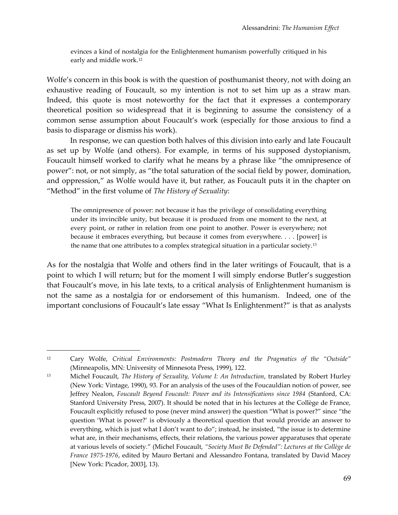evinces a kind of nostalgia for the Enlightenment humanism powerfully critiqued in his early and middle work.<sup>12</sup>

Wolfe's concern in this book is with the question of posthumanist theory, not with doing an exhaustive reading of Foucault, so my intention is not to set him up as a straw man. Indeed, this quote is most noteworthy for the fact that it expresses a contemporary theoretical position so widespread that it is beginning to assume the consistency of a common sense assumption about Foucault's work (especially for those anxious to find a basis to disparage or dismiss his work).

In response, we can question both halves of this division into early and late Foucault as set up by Wolfe (and others). For example, in terms of his supposed dystopianism, Foucault himself worked to clarify what he means by a phrase like 'the omnipresence of power': not, or not simply, as 'the total saturation of the social field by power, domination, and oppression,' as Wolfe would have it, but rather, as Foucault puts it in the chapter on 'Method' in the first volume of *The History of Sexuality*:

The omnipresence of power: not because it has the privilege of consolidating everything under its invincible unity, but because it is produced from one moment to the next, at every point, or rather in relation from one point to another. Power is everywhere; not because it embraces everything, but because it comes from everywhere. . . . [power] is the name that one attributes to a complex strategical situation in a particular society.<sup>13</sup>

As for the nostalgia that Wolfe and others find in the later writings of Foucault, that is a point to which I will return; but for the moment I will simply endorse Butler's suggestion that Foucault's move, in his late texts, to a critical analysis of Enlightenment humanism is not the same as a nostalgia for or endorsement of this humanism. Indeed, one of the important conclusions of Foucault's late essay "What Is Enlightenment?" is that as analysts

<sup>12</sup> Cary Wolfe, *Critical Environments: Postmodern Theory and the Pragmatics of the 'Outside'* (Minneapolis, MN: University of Minnesota Press, 1999), 122.

<sup>13</sup> Michel Foucault, *The History of Sexuality, Volume I: An Introduction*, translated by Robert Hurley (New York: Vintage, 1990), 93. For an analysis of the uses of the Foucauldian notion of power, see Jeffrey Nealon, *Foucault Beyond Foucault: Power and its Intensifications since 1984* (Stanford, CA: Stanford University Press, 2007). It should be noted that in his lectures at the Collège de France, Foucault explicitly refused to pose (never mind answer) the question 'What is power?' since 'the question 'What is power?' is obviously a theoretical question that would provide an answer to everything, which is just what I don't want to do"; instead, he insisted, "the issue is to determine what are, in their mechanisms, effects, their relations, the various power apparatuses that operate at various levels of society.' (Michel Foucault, *'Society Must Be Defended': Lectures at the Collège de France 1975-1976*, edited by Mauro Bertani and Alessandro Fontana, translated by David Macey [New York: Picador, 2003], 13).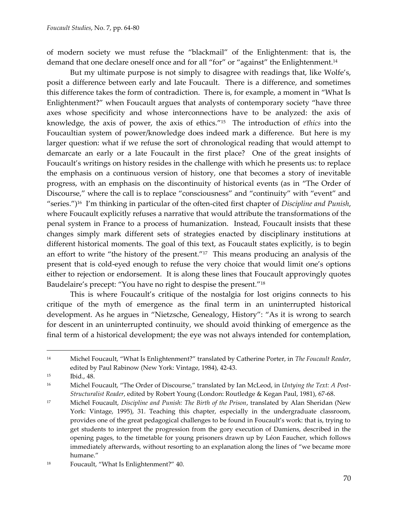of modern society we must refuse the 'blackmail' of the Enlightenment: that is, the demand that one declare oneself once and for all "for" or "against" the Enlightenment.<sup>14</sup>

But my ultimate purpose is not simply to disagree with readings that, like Wolfe's, posit a difference between early and late Foucault. There is a difference, and sometimes this difference takes the form of contradiction. There is, for example, a moment in 'What Is Enlightenment?' when Foucault argues that analysts of contemporary society 'have three axes whose specificity and whose interconnections have to be analyzed: the axis of knowledge, the axis of power, the axis of ethics.'<sup>15</sup> The introduction of *ethics* into the Foucaultian system of power/knowledge does indeed mark a difference. But here is my larger question: what if we refuse the sort of chronological reading that would attempt to demarcate an early or a late Foucault in the first place? One of the great insights of Foucault's writings on history resides in the challenge with which he presents us: to replace the emphasis on a continuous version of history, one that becomes a story of inevitable progress, with an emphasis on the discontinuity of historical events (as in 'The Order of Discourse," where the call is to replace "consciousness" and "continuity" with "event" and 'series.')<sup>16</sup> I'm thinking in particular of the often-cited first chapter of *Discipline and Punish*, where Foucault explicitly refuses a narrative that would attribute the transformations of the penal system in France to a process of humanization. Instead, Foucault insists that these changes simply mark different sets of strategies enacted by disciplinary institutions at different historical moments. The goal of this text, as Foucault states explicitly, is to begin an effort to write "the history of the present."<sup>17</sup> This means producing an analysis of the present that is cold-eyed enough to refuse the very choice that would limit one's options either to rejection or endorsement. It is along these lines that Foucault approvingly quotes Baudelaire's precept: 'You have no right to despise the present.'<sup>18</sup>

This is where Foucault's critique of the nostalgia for lost origins connects to his critique of the myth of emergence as the final term in an uninterrupted historical development. As he argues in 'Nietzsche, Genealogy, History': 'As it is wrong to search for descent in an uninterrupted continuity, we should avoid thinking of emergence as the final term of a historical development; the eye was not always intended for contemplation,

<sup>14</sup> Michel Foucault, 'What Is Enlightenment?' translated by Catherine Porter, in *The Foucault Reader*, edited by Paul Rabinow (New York: Vintage, 1984), 42-43.

<sup>15</sup> Ibid., 48.

<sup>16</sup> Michel Foucault, 'The Order of Discourse,' translated by Ian McLeod, in *Untying the Text: A Post-Structuralist Reader*, edited by Robert Young (London: Routledge & Kegan Paul, 1981), 67-68.

<sup>17</sup> Michel Foucault, *Discipline and Punish: The Birth of the Prison*, translated by Alan Sheridan (New York: Vintage, 1995), 31. Teaching this chapter, especially in the undergraduate classroom, provides one of the great pedagogical challenges to be found in Foucault's work: that is, trying to get students to interpret the progression from the gory execution of Damiens, described in the opening pages, to the timetable for young prisoners drawn up by Léon Faucher, which follows immediately afterwards, without resorting to an explanation along the lines of "we became more humane.'

<sup>&</sup>lt;sup>18</sup> Foucault, "What Is Enlightenment?" 40.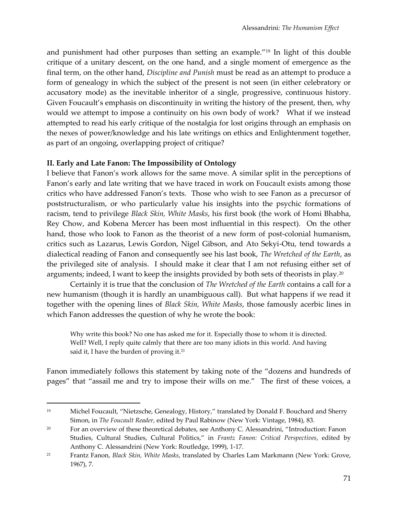and punishment had other purposes than setting an example.'<sup>19</sup> In light of this double critique of a unitary descent, on the one hand, and a single moment of emergence as the final term, on the other hand, *Discipline and Punish* must be read as an attempt to produce a form of genealogy in which the subject of the present is not seen (in either celebratory or accusatory mode) as the inevitable inheritor of a single, progressive, continuous history. Given Foucault's emphasis on discontinuity in writing the history of the present, then, why would we attempt to impose a continuity on his own body of work? What if we instead attempted to read his early critique of the nostalgia for lost origins through an emphasis on the nexes of power/knowledge and his late writings on ethics and Enlightenment together, as part of an ongoing, overlapping project of critique?

### **II. Early and Late Fanon: The Impossibility of Ontology**

 $\overline{a}$ 

I believe that Fanon's work allows for the same move. A similar split in the perceptions of Fanon's early and late writing that we have traced in work on Foucault exists among those critics who have addressed Fanon's texts. Those who wish to see Fanon as a precursor of poststructuralism, or who particularly value his insights into the psychic formations of racism, tend to privilege *Black Skin, White Masks*, his first book (the work of Homi Bhabha, Rey Chow, and Kobena Mercer has been most influential in this respect). On the other hand, those who look to Fanon as the theorist of a new form of post-colonial humanism, critics such as Lazarus, Lewis Gordon, Nigel Gibson, and Ato Sekyi-Otu, tend towards a dialectical reading of Fanon and consequently see his last book, *The Wretched of the Earth*, as the privileged site of analysis. I should make it clear that I am not refusing either set of arguments; indeed, I want to keep the insights provided by both sets of theorists in play.<sup>20</sup>

Certainly it is true that the conclusion of *The Wretched of the Earth* contains a call for a new humanism (though it is hardly an unambiguous call). But what happens if we read it together with the opening lines of *Black Skin, White Masks*, those famously acerbic lines in which Fanon addresses the question of why he wrote the book:

Why write this book? No one has asked me for it. Especially those to whom it is directed. Well? Well, I reply quite calmly that there are too many idiots in this world. And having said it, I have the burden of proving it.<sup>21</sup>

Fanon immediately follows this statement by taking note of the 'dozens and hundreds of pages' that 'assail me and try to impose their wills on me.' The first of these voices, a

<sup>19</sup> Michel Foucault, 'Nietzsche, Genealogy, History,' translated by Donald F. Bouchard and Sherry Simon, in *The Foucault Reader*, edited by Paul Rabinow (New York: Vintage, 1984), 83.

<sup>&</sup>lt;sup>20</sup> For an overview of these theoretical debates, see Anthony C. Alessandrini, "Introduction: Fanon Studies, Cultural Studies, Cultural Politics,' in *Frantz Fanon: Critical Perspectives*, edited by Anthony C. Alessandrini (New York: Routledge, 1999), 1-17.

<sup>21</sup> Frantz Fanon, *Black Skin, White Masks*, translated by Charles Lam Markmann (New York: Grove, 1967), 7.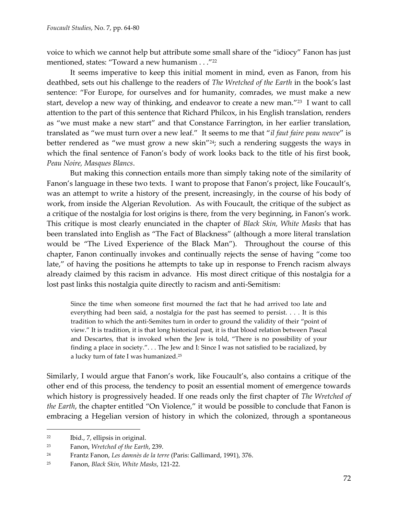voice to which we cannot help but attribute some small share of the 'idiocy' Fanon has just mentioned, states: "Toward a new humanism . . ."<sup>22</sup>

It seems imperative to keep this initial moment in mind, even as Fanon, from his deathbed, sets out his challenge to the readers of *The Wretched of the Earth* in the book's last sentence: 'For Europe, for ourselves and for humanity, comrades, we must make a new start, develop a new way of thinking, and endeavor to create a new man."<sup>23</sup> I want to call attention to the part of this sentence that Richard Philcox, in his English translation, renders as 'we must make a new start' and that Constance Farrington, in her earlier translation, translated as 'we must turn over a new leaf.' It seems to me that '*il faut faire peau neuve*' is better rendered as "we must grow a new skin"<sup>24</sup>; such a rendering suggests the ways in which the final sentence of Fanon's body of work looks back to the title of his first book, *Peau Noire, Masques Blancs*.

But making this connection entails more than simply taking note of the similarity of Fanon's language in these two texts. I want to propose that Fanon's project, like Foucault's, was an attempt to write a history of the present, increasingly, in the course of his body of work, from inside the Algerian Revolution. As with Foucault, the critique of the subject as a critique of the nostalgia for lost origins is there, from the very beginning, in Fanon's work. This critique is most clearly enunciated in the chapter of *Black Skin, White Masks* that has been translated into English as 'The Fact of Blackness' (although a more literal translation would be 'The Lived Experience of the Black Man'). Throughout the course of this chapter, Fanon continually invokes and continually rejects the sense of having 'come too late," of having the positions he attempts to take up in response to French racism always already claimed by this racism in advance. His most direct critique of this nostalgia for a lost past links this nostalgia quite directly to racism and anti-Semitism:

Since the time when someone first mourned the fact that he had arrived too late and everything had been said, a nostalgia for the past has seemed to persist. . . . It is this tradition to which the anti-Semites turn in order to ground the validity of their 'point of view.' It is tradition, it is that long historical past, it is that blood relation between Pascal and Descartes, that is invoked when the Jew is told, 'There is no possibility of your finding a place in society.'. . . The Jew and I: Since I was not satisfied to be racialized, by a lucky turn of fate I was humanized.<sup>25</sup>

Similarly, I would argue that Fanon's work, like Foucault's, also contains a critique of the other end of this process, the tendency to posit an essential moment of emergence towards which history is progressively headed. If one reads only the first chapter of *The Wretched of the Earth*, the chapter entitled 'On Violence,' it would be possible to conclude that Fanon is embracing a Hegelian version of history in which the colonized, through a spontaneous

<sup>22</sup> Ibid., 7, ellipsis in original.

<sup>23</sup> Fanon, *Wretched of the Earth*, 239.

<sup>24</sup> Frantz Fanon, *Les damnès de la terre* (Paris: Gallimard, 1991), 376.

<sup>25</sup> Fanon, *Black Skin, White Masks*, 121-22.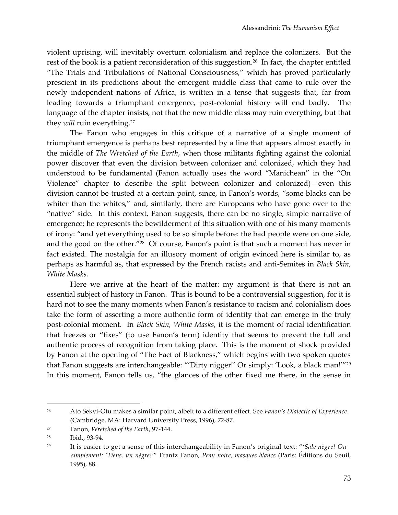violent uprising, will inevitably overturn colonialism and replace the colonizers. But the rest of the book is a patient reconsideration of this suggestion.<sup>26</sup> In fact, the chapter entitled 'The Trials and Tribulations of National Consciousness,' which has proved particularly prescient in its predictions about the emergent middle class that came to rule over the newly independent nations of Africa, is written in a tense that suggests that, far from leading towards a triumphant emergence, post-colonial history will end badly. The language of the chapter insists, not that the new middle class may ruin everything, but that they *will* ruin everything.<sup>27</sup>

The Fanon who engages in this critique of a narrative of a single moment of triumphant emergence is perhaps best represented by a line that appears almost exactly in the middle of *The Wretched of the Earth*, when those militants fighting against the colonial power discover that even the division between colonizer and colonized, which they had understood to be fundamental (Fanon actually uses the word 'Manichean' in the 'On Violence' chapter to describe the split between colonizer and colonized)—even this division cannot be trusted at a certain point, since, in Fanon's words, 'some blacks can be whiter than the whites," and, similarly, there are Europeans who have gone over to the 'native' side. In this context, Fanon suggests, there can be no single, simple narrative of emergence; he represents the bewilderment of this situation with one of his many moments of irony: 'and yet everything used to be so simple before: the bad people were on one side, and the good on the other."<sup>28</sup> Of course, Fanon's point is that such a moment has never in fact existed. The nostalgia for an illusory moment of origin evinced here is similar to, as perhaps as harmful as, that expressed by the French racists and anti-Semites in *Black Skin, White Masks*.

Here we arrive at the heart of the matter: my argument is that there is not an essential subject of history in Fanon. This is bound to be a controversial suggestion, for it is hard not to see the many moments when Fanon's resistance to racism and colonialism does take the form of asserting a more authentic form of identity that can emerge in the truly post-colonial moment. In *Black Skin, White Masks*, it is the moment of racial identification that freezes or 'fixes' (to use Fanon's term) identity that seems to prevent the full and authentic process of recognition from taking place. This is the moment of shock provided by Fanon at the opening of "The Fact of Blackness," which begins with two spoken quotes that Fanon suggests are interchangeable: ''Dirty nigger!' Or simply: 'Look, a black man!''<sup>29</sup> In this moment, Fanon tells us, 'the glances of the other fixed me there, in the sense in

<sup>26</sup> Ato Sekyi-Otu makes a similar point, albeit to a different effect. See *Fanon's Dialectic of Experience* (Cambridge, MA: Harvard University Press, 1996), 72-87.

<sup>27</sup> Fanon, *Wretched of the Earth*, 97-144.

<sup>28</sup> Ibid., 93-94.

<sup>29</sup> It is easier to get a sense of this interchangeability in Fanon's original text: '*'Sale nègre! Ou simplement: 'Tiens, un nègre!'*' Frantz Fanon, *Peau noire, masques blancs* (Paris: Éditions du Seuil, 1995), 88.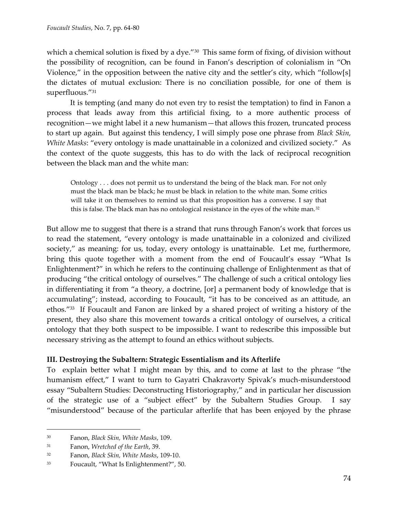which a chemical solution is fixed by a dye."<sup>30</sup> This same form of fixing, of division without the possibility of recognition, can be found in Fanon's description of colonialism in 'On Violence," in the opposition between the native city and the settler's city, which "follow[s] the dictates of mutual exclusion: There is no conciliation possible, for one of them is superfluous."31

It is tempting (and many do not even try to resist the temptation) to find in Fanon a process that leads away from this artificial fixing, to a more authentic process of recognition—we might label it a new humanism—that allows this frozen, truncated process to start up again. But against this tendency, I will simply pose one phrase from *Black Skin, White Masks*: 'every ontology is made unattainable in a colonized and civilized society.' As the context of the quote suggests, this has to do with the lack of reciprocal recognition between the black man and the white man:

Ontology . . . does not permit us to understand the being of the black man. For not only must the black man be black; he must be black in relation to the white man. Some critics will take it on themselves to remind us that this proposition has a converse. I say that this is false. The black man has no ontological resistance in the eyes of the white man.<sup>32</sup>

But allow me to suggest that there is a strand that runs through Fanon's work that forces us to read the statement, 'every ontology is made unattainable in a colonized and civilized society,' as meaning: for us, today, every ontology is unattainable. Let me, furthermore, bring this quote together with a moment from the end of Foucault's essay "What Is Enlightenment?' in which he refers to the continuing challenge of Enlightenment as that of producing 'the critical ontology of ourselves.' The challenge of such a critical ontology lies in differentiating it from "a theory, a doctrine, [or] a permanent body of knowledge that is accumulating"; instead, according to Foucault, "it has to be conceived as an attitude, an ethos."<sup>33</sup> If Foucault and Fanon are linked by a shared project of writing a history of the present, they also share this movement towards a critical ontology of ourselves, a critical ontology that they both suspect to be impossible. I want to redescribe this impossible but necessary striving as the attempt to found an ethics without subjects.

## **III. Destroying the Subaltern: Strategic Essentialism and its Afterlife**

To explain better what I might mean by this, and to come at last to the phrase 'the humanism effect,' I want to turn to Gayatri Chakravorty Spivak's much-misunderstood essay 'Subaltern Studies: Deconstructing Historiography,' and in particular her discussion of the strategic use of a 'subject effect' by the Subaltern Studies Group. I say 'misunderstood' because of the particular afterlife that has been enjoyed by the phrase

<sup>30</sup> Fanon, *Black Skin, White Masks*, 109.

<sup>31</sup> Fanon, *Wretched of the Earth*, 39.

<sup>32</sup> Fanon, *Black Skin, White Masks*, 109-10.

<sup>33</sup> Foucault, 'What Is Enlightenment?', 50.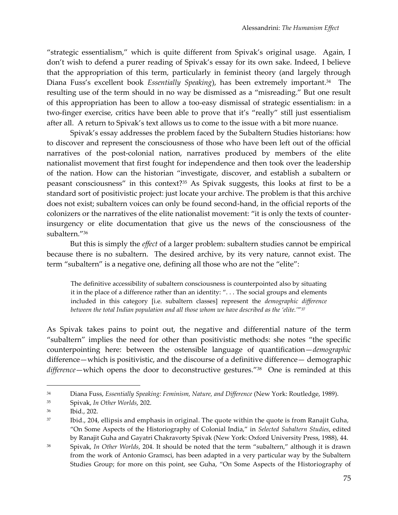'strategic essentialism,' which is quite different from Spivak's original usage. Again, I don't wish to defend a purer reading of Spivak's essay for its own sake. Indeed, I believe that the appropriation of this term, particularly in feminist theory (and largely through Diana Fuss's excellent book *Essentially Speaking*), has been extremely important.<sup>34</sup> The resulting use of the term should in no way be dismissed as a 'misreading.' But one result of this appropriation has been to allow a too-easy dismissal of strategic essentialism: in a two-finger exercise, critics have been able to prove that it's "really" still just essentialism after all. A return to Spivak's text allows us to come to the issue with a bit more nuance.

Spivak's essay addresses the problem faced by the Subaltern Studies historians: how to discover and represent the consciousness of those who have been left out of the official narratives of the post-colonial nation, narratives produced by members of the elite nationalist movement that first fought for independence and then took over the leadership of the nation. How can the historian 'investigate, discover, and establish a subaltern or peasant consciousness' in this context?<sup>35</sup> As Spivak suggests, this looks at first to be a standard sort of positivistic project: just locate your archive. The problem is that this archive does not exist; subaltern voices can only be found second-hand, in the official reports of the colonizers or the narratives of the elite nationalist movement: 'it is only the texts of counterinsurgency or elite documentation that give us the news of the consciousness of the subaltern.'<sup>36</sup>

But this is simply the *effect* of a larger problem: subaltern studies cannot be empirical because there is no subaltern. The desired archive, by its very nature, cannot exist. The term 'subaltern' is a negative one, defining all those who are not the 'elite':

The definitive accessibility of subaltern consciousness is counterpointed also by situating it in the place of a difference rather than an identity: "... The social groups and elements included in this category [i.e. subaltern classes] represent the *demographic difference between the total Indian population and all those whom we have described as the 'elite.'*' 37

As Spivak takes pains to point out, the negative and differential nature of the term 'subaltern' implies the need for other than positivistic methods: she notes 'the specific counterpointing here: between the ostensible language of quantification—*demographic* difference—which is positivistic, and the discourse of a definitive difference— demographic *difference*—which opens the door to deconstructive gestures.'<sup>38</sup> One is reminded at this

<sup>34</sup> Diana Fuss, *Essentially Speaking: Feminism, Nature, and Difference* (New York: Routledge, 1989).

<sup>35</sup> Spivak, *In Other Worlds*, 202.

<sup>36</sup> Ibid., 202.

 $37$  Ibid., 204, ellipsis and emphasis in original. The quote within the quote is from Ranajit Guha, 'On Some Aspects of the Historiography of Colonial India,' in *Selected Subaltern Studies*, edited by Ranajit Guha and Gayatri Chakravorty Spivak (New York: Oxford University Press, 1988), 44.

<sup>38</sup> Spivak, *In Other Worlds*, 204. It should be noted that the term 'subaltern,' although it is drawn from the work of Antonio Gramsci, has been adapted in a very particular way by the Subaltern Studies Group; for more on this point, see Guha, 'On Some Aspects of the Historiography of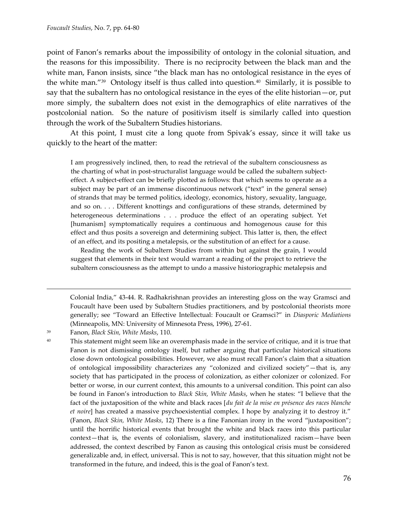point of Fanon's remarks about the impossibility of ontology in the colonial situation, and the reasons for this impossibility. There is no reciprocity between the black man and the white man, Fanon insists, since "the black man has no ontological resistance in the eyes of the white man."<sup>39</sup> Ontology itself is thus called into question.<sup>40</sup> Similarly, it is possible to say that the subaltern has no ontological resistance in the eyes of the elite historian—or, put more simply, the subaltern does not exist in the demographics of elite narratives of the postcolonial nation. So the nature of positivism itself is similarly called into question through the work of the Subaltern Studies historians.

At this point, I must cite a long quote from Spivak's essay, since it will take us quickly to the heart of the matter:

I am progressively inclined, then, to read the retrieval of the subaltern consciousness as the charting of what in post-structuralist language would be called the subaltern subjecteffect. A subject-effect can be briefly plotted as follows: that which seems to operate as a subject may be part of an immense discontinuous network ("text" in the general sense) of strands that may be termed politics, ideology, economics, history, sexuality, language, and so on. . . . Different knottings and configurations of these strands, determined by heterogeneous determinations . . . produce the effect of an operating subject. Yet [humanism] symptomatically requires a continuous and homogenous cause for this effect and thus posits a sovereign and determining subject. This latter is, then, the effect of an effect, and its positing a metalepsis, or the substitution of an effect for a cause.

Reading the work of Subaltern Studies from within but against the grain, I would suggest that elements in their text would warrant a reading of the project to retrieve the subaltern consciousness as the attempt to undo a massive historiographic metalepsis and

Colonial India,' 43-44. R. Radhakrishnan provides an interesting gloss on the way Gramsci and Foucault have been used by Subaltern Studies practitioners, and by postcolonial theorists more generally; see 'Toward an Effective Intellectual: Foucault or Gramsci?' in *Diasporic Mediations* (Minneapolis, MN: University of Minnesota Press, 1996), 27-61.

 $\overline{a}$ 

<sup>39</sup> Fanon, *Black Skin, White Masks*, 110.

<sup>40</sup> This statement might seem like an overemphasis made in the service of critique, and it is true that Fanon is not dismissing ontology itself, but rather arguing that particular historical situations close down ontological possibilities. However, we also must recall Fanon's claim that a situation of ontological impossibility characterizes any 'colonized and civilized society'—that is, any society that has participated in the process of colonization, as either colonizer or colonized. For better or worse, in our current context, this amounts to a universal condition. This point can also be found in Fanon's introduction to *Black Skin, White Masks*, when he states: 'I believe that the fact of the juxtaposition of the white and black races [*du fait de la mise en présence des races blanche et noire*| has created a massive psychoexistential complex. I hope by analyzing it to destroy it." (Fanon, *Black Skin, White Masks*, 12) There is a fine Fanonian irony in the word 'juxtaposition'; until the horrific historical events that brought the white and black races into this particular context—that is, the events of colonialism, slavery, and institutionalized racism—have been addressed, the context described by Fanon as causing this ontological crisis must be considered generalizable and, in effect, universal. This is not to say, however, that this situation might not be transformed in the future, and indeed, this is the goal of Fanon's text.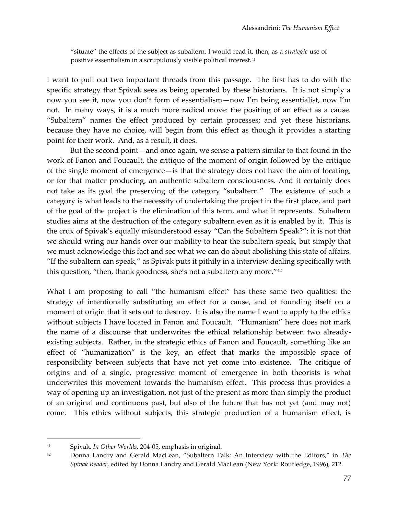'situate' the effects of the subject as subaltern. I would read it, then, as a *strategic* use of positive essentialism in a scrupulously visible political interest.<sup>41</sup>

I want to pull out two important threads from this passage. The first has to do with the specific strategy that Spivak sees as being operated by these historians. It is not simply a now you see it, now you don't form of essentialism—now I'm being essentialist, now I'm not. In many ways, it is a much more radical move: the positing of an effect as a cause. 'Subaltern' names the effect produced by certain processes; and yet these historians, because they have no choice, will begin from this effect as though it provides a starting point for their work. And, as a result, it does.

But the second point—and once again, we sense a pattern similar to that found in the work of Fanon and Foucault, the critique of the moment of origin followed by the critique of the single moment of emergence—is that the strategy does not have the aim of locating, or for that matter producing, an authentic subaltern consciousness. And it certainly does not take as its goal the preserving of the category 'subaltern.' The existence of such a category is what leads to the necessity of undertaking the project in the first place, and part of the goal of the project is the elimination of this term, and what it represents. Subaltern studies aims at the destruction of the category subaltern even as it is enabled by it. This is the crux of Spivak's equally misunderstood essay 'Can the Subaltern Speak?': it is not that we should wring our hands over our inability to hear the subaltern speak, but simply that we must acknowledge this fact and see what we can do about abolishing this state of affairs. 'If the subaltern can speak,' as Spivak puts it pithily in a interview dealing specifically with this question, "then, thank goodness, she's not a subaltern any more."<sup>42</sup>

What I am proposing to call "the humanism effect" has these same two qualities: the strategy of intentionally substituting an effect for a cause, and of founding itself on a moment of origin that it sets out to destroy. It is also the name I want to apply to the ethics without subjects I have located in Fanon and Foucault. 'Humanism' here does not mark the name of a discourse that underwrites the ethical relationship between two alreadyexisting subjects. Rather, in the strategic ethics of Fanon and Foucault, something like an effect of 'humanization' is the key, an effect that marks the impossible space of responsibility between subjects that have not yet come into existence. The critique of origins and of a single, progressive moment of emergence in both theorists is what underwrites this movement towards the humanism effect. This process thus provides a way of opening up an investigation, not just of the present as more than simply the product of an original and continuous past, but also of the future that has not yet (and may not) come. This ethics without subjects, this strategic production of a humanism effect, is

<sup>41</sup> Spivak, *In Other Worlds*, 204-05, emphasis in original.

<sup>42</sup> Donna Landry and Gerald MacLean, 'Subaltern Talk: An Interview with the Editors,' in *The Spivak Reader*, edited by Donna Landry and Gerald MacLean (New York: Routledge, 1996), 212.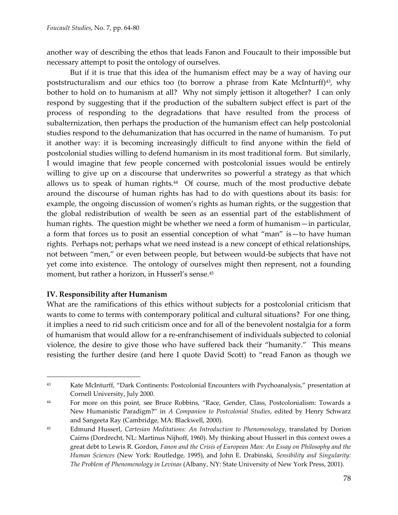another way of describing the ethos that leads Fanon and Foucault to their impossible but necessary attempt to posit the ontology of ourselves.

But if it is true that this idea of the humanism effect may be a way of having our poststructuralism and our ethics too (to borrow a phrase from Kate McInturff) $43$ , why bother to hold on to humanism at all? Why not simply jettison it altogether? I can only respond by suggesting that if the production of the subaltern subject effect is part of the process of responding to the degradations that have resulted from the process of subalternization, then perhaps the production of the humanism effect can help postcolonial studies respond to the dehumanization that has occurred in the name of humanism. To put it another way: it is becoming increasingly difficult to find anyone within the field of postcolonial studies willing to defend humanism in its most traditional form. But similarly, I would imagine that few people concerned with postcolonial issues would be entirely willing to give up on a discourse that underwrites so powerful a strategy as that which allows us to speak of human rights.<sup>44</sup> Of course, much of the most productive debate around the discourse of human rights has had to do with questions about its basis: for example, the ongoing discussion of women's rights as human rights, or the suggestion that the global redistribution of wealth be seen as an essential part of the establishment of human rights. The question might be whether we need a form of humanism—in particular, a form that forces us to posit an essential conception of what 'man' is—to have human rights. Perhaps not; perhaps what we need instead is a new concept of ethical relationships, not between 'men,' or even between people, but between would-be subjects that have not yet come into existence. The ontology of ourselves might then represent, not a founding moment, but rather a horizon, in Husserl's sense.<sup>45</sup>

#### **IV. Responsibility after Humanism**

 $\overline{a}$ 

What are the ramifications of this ethics without subjects for a postcolonial criticism that wants to come to terms with contemporary political and cultural situations? For one thing, it implies a need to rid such criticism once and for all of the benevolent nostalgia for a form of humanism that would allow for a re-enfranchisement of individuals subjected to colonial violence, the desire to give those who have suffered back their 'humanity.' This means resisting the further desire (and here I quote David Scott) to 'read Fanon as though we

<sup>43</sup> Kate McInturff, 'Dark Continents: Postcolonial Encounters with Psychoanalysis,' presentation at Cornell University, July 2000.

<sup>44</sup> For more on this point, see Bruce Robbins, 'Race, Gender, Class, Postcolonialism: Towards a New Humanistic Paradigm?' in *A Companion to Postcolonial Studies*, edited by Henry Schwarz and Sangeeta Ray (Cambridge, MA: Blackwell, 2000).

<sup>45</sup> Edmund Husserl, *Cartesian Meditations: An Introduction to Phenomenology*, translated by Dorion Cairns (Dordrecht, NL: Martinus Nijhoff, 1960). My thinking about Husserl in this context owes a great debt to Lewis R. Gordon, *Fanon and the Crisis of European Man: An Essay on Philosophy and the Human Sciences* (New York: Routledge, 1995), and John E. Drabinski, *Sensibility and Singularity: The Problem of Phenomenology in Levinas* (Albany, NY: State University of New York Press, 2001).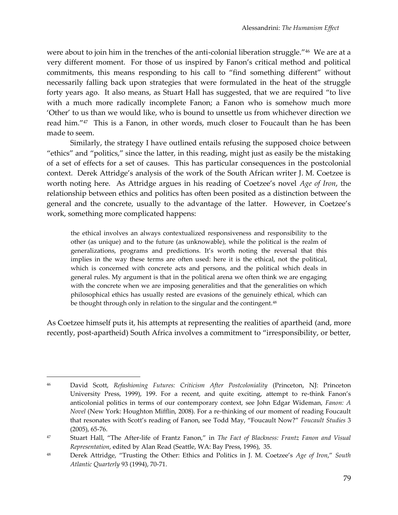were about to join him in the trenches of the anti-colonial liberation struggle." $^{46}$  We are at a very different moment. For those of us inspired by Fanon's critical method and political commitments, this means responding to his call to 'find something different' without necessarily falling back upon strategies that were formulated in the heat of the struggle forty years ago. It also means, as Stuart Hall has suggested, that we are required 'to live with a much more radically incomplete Fanon; a Fanon who is somehow much more 'Other' to us than we would like, who is bound to unsettle us from whichever direction we read him.'<sup>47</sup> This is a Fanon, in other words, much closer to Foucault than he has been made to seem.

Similarly, the strategy I have outlined entails refusing the supposed choice between 'ethics' and 'politics,' since the latter, in this reading, might just as easily be the mistaking of a set of effects for a set of causes. This has particular consequences in the postcolonial context. Derek Attridge's analysis of the work of the South African writer J. M. Coetzee is worth noting here. As Attridge argues in his reading of Coetzee's novel *Age of Iron*, the relationship between ethics and politics has often been posited as a distinction between the general and the concrete, usually to the advantage of the latter. However, in Coetzee's work, something more complicated happens:

the ethical involves an always contextualized responsiveness and responsibility to the other (as unique) and to the future (as unknowable), while the political is the realm of generalizations, programs and predictions. It's worth noting the reversal that this implies in the way these terms are often used: here it is the ethical, not the political, which is concerned with concrete acts and persons, and the political which deals in general rules. My argument is that in the political arena we often think we are engaging with the concrete when we are imposing generalities and that the generalities on which philosophical ethics has usually rested are evasions of the genuinely ethical, which can be thought through only in relation to the singular and the contingent.<sup>48</sup>

As Coetzee himself puts it, his attempts at representing the realities of apartheid (and, more recently, post-apartheid) South Africa involves a commitment to "irresponsibility, or better,

<sup>46</sup> David Scott, *Refashioning Futures: Criticism After Postcoloniality* (Princeton, NJ: Princeton University Press, 1999), 199. For a recent, and quite exciting, attempt to re-think Fanon's anticolonial politics in terms of our contemporary context, see John Edgar Wideman, *Fanon: A Novel* (New York: Houghton Mifflin, 2008). For a re-thinking of our moment of reading Foucault that resonates with Scott's reading of Fanon, see Todd May, 'Foucault Now?' *Foucault Studies* 3 (2005), 65-76.

<sup>47</sup> Stuart Hall, 'The After-life of Frantz Fanon,' in *The Fact of Blackness: Frantz Fanon and Visual Representation*, edited by Alan Read (Seattle, WA: Bay Press, 1996), 35.

<sup>48</sup> Derek Attridge, 'Trusting the Other: Ethics and Politics in J. M. Coetzee's *Age of Iron*,' *South Atlantic Quarterly* 93 (1994), 70-71.